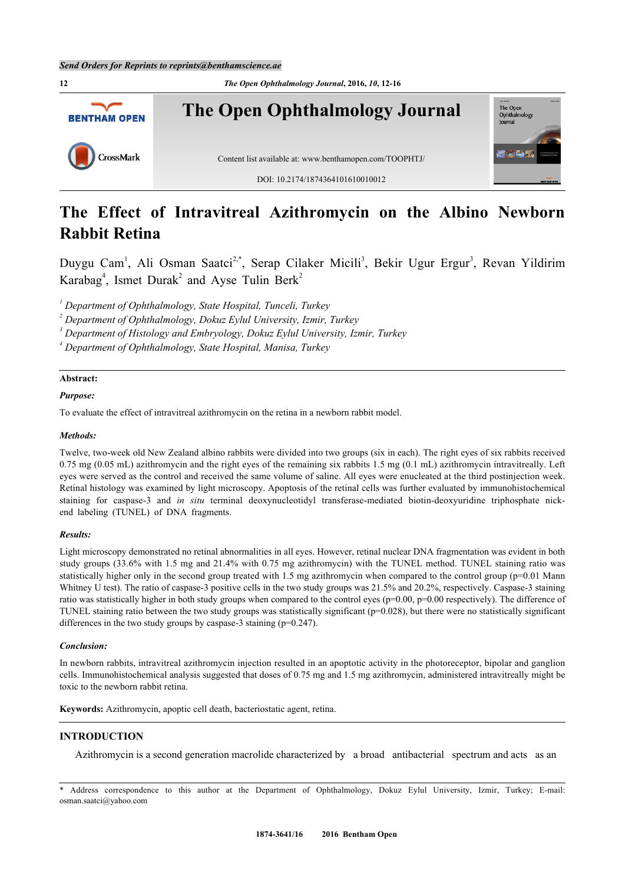

# **The Effect of Intravitreal Azithromycin on the Albino Newborn Rabbit Retina**

Duygu Cam<sup>[1](#page-0-0)</sup>, Ali Osman Saatci<sup>[2](#page-0-1),[\\*](#page-0-2)</sup>, Serap Cilaker Micili<sup>[3](#page-0-3)</sup>, Bekir Ugur Ergur<sup>3</sup>, Revan Yildirim Karabag<sup>[4](#page-0-4)</sup>, Ismet Durak<sup>[2](#page-0-1)</sup> and Ayse Tulin Berk<sup>2</sup>

<span id="page-0-0"></span>*1 Department of Ophthalmology, State Hospital, Tunceli, Turkey*

<span id="page-0-1"></span>*2 Department of Ophthalmology, Dokuz Eylul University, Izmir, Turkey*

<span id="page-0-3"></span>*3 Department of Histology and Embryology, Dokuz Eylul University, Izmir, Turkey*

<span id="page-0-4"></span>*4 Department of Ophthalmology, State Hospital, Manisa, Turkey*

# **Abstract:**

## *Purpose:*

To evaluate the effect of intravitreal azithromycin on the retina in a newborn rabbit model.

#### *Methods:*

Twelve, two-week old New Zealand albino rabbits were divided into two groups (six in each). The right eyes of six rabbits received 0.75 mg (0.05 mL) azithromycin and the right eyes of the remaining six rabbits 1.5 mg (0.1 mL) azithromycin intravitreally. Left eyes were served as the control and received the same volume of saline. All eyes were enucleated at the third postinjection week. Retinal histology was examined by light microscopy. Apoptosis of the retinal cells was further evaluated by immunohistochemical staining for caspase-3 and *in situ* terminal deoxynucleotidyl transferase-mediated biotin-deoxyuridine triphosphate nickend labeling (TUNEL) of DNA fragments.

### *Results:*

Light microscopy demonstrated no retinal abnormalities in all eyes. However, retinal nuclear DNA fragmentation was evident in both study groups (33.6% with 1.5 mg and 21.4% with 0.75 mg azithromycin) with the TUNEL method. TUNEL staining ratio was statistically higher only in the second group treated with 1.5 mg azithromycin when compared to the control group (p=0.01 Mann Whitney U test). The ratio of caspase-3 positive cells in the two study groups was 21.5% and 20.2%, respectively. Caspase-3 staining ratio was statistically higher in both study groups when compared to the control eyes  $(p=0.00, p=0.00$  respectively). The difference of TUNEL staining ratio between the two study groups was statistically significant (p=0.028), but there were no statistically significant differences in the two study groups by caspase-3 staining  $(p=0.247)$ .

#### *Conclusion:*

In newborn rabbits, intravitreal azithromycin injection resulted in an apoptotic activity in the photoreceptor, bipolar and ganglion cells. Immunohistochemical analysis suggested that doses of 0.75 mg and 1.5 mg azithromycin, administered intravitreally might be toxic to the newborn rabbit retina.

**Keywords:** Azithromycin, apoptic cell death, bacteriostatic agent, retina.

# **INTRODUCTION**

Azithromycin is a second generation macrolide characterized by a broad antibacterial spectrum and acts as an

<span id="page-0-2"></span><sup>\*</sup> Address correspondence to this author at the Department of Ophthalmology, Dokuz Eylul University, Izmir, Turkey; E-mail: [osman.saatci@yahoo.com](mailto:osman.saatci@yahoo.com)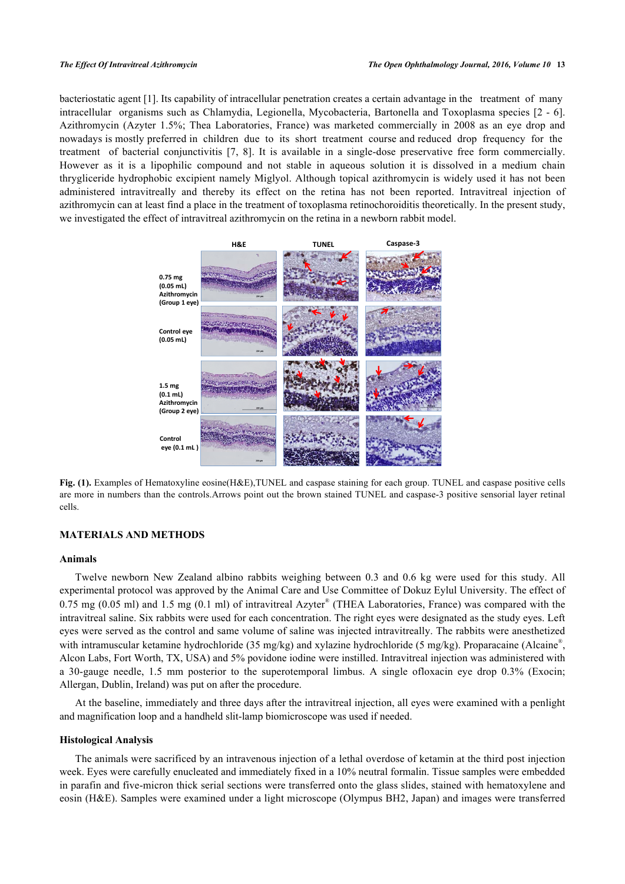bacteriostatic agent [\[1](#page-3-0)]. Its capability of intracellular penetration creates a certain advantage in the treatment of many intracellular organisms such as Chlamydia, Legionella, Mycobacteria, Bartonella and Toxoplasma species [[2](#page-3-1) - [6\]](#page-3-2). Azithromycin (Azyter 1.5%; Thea Laboratories, France) was marketed commercially in 2008 as an eye drop and nowadays is mostly preferred in children due to its short treatment course and reduced drop frequency for the treatment of bacterial conjunctivitis[[7,](#page-3-3) [8\]](#page-3-4). It is available in a single-dose preservative free form commercially. However as it is a lipophilic compound and not stable in aqueous solution it is dissolved in a medium chain thrygliceride hydrophobic excipient namely Miglyol. Although topical azithromycin is widely used it has not been administered intravitreally and thereby its effect on the retina has not been reported. Intravitreal injection of azithromycin can at least find a place in the treatment of toxoplasma retinochoroiditis theoretically. In the present study, we investigated the effect of intravitreal azithromycin on the retina in a newborn rabbit model.

<span id="page-1-0"></span>

**Fig. (1).** Examples of Hematoxyline eosine(H&E),TUNEL and caspase staining for each group. TUNEL and caspase positive cells are more in numbers than the controls.Arrows point out the brown stained TUNEL and caspase-3 positive sensorial layer retinal cells.

# **MATERIALS AND METHODS**

#### **Animals**

Twelve newborn New Zealand albino rabbits weighing between 0.3 and 0.6 kg were used for this study. All experimental protocol was approved by the Animal Care and Use Committee of Dokuz Eylul University. The effect of 0.75 mg (0.05 ml) and 1.5 mg (0.1 ml) of intravitreal Azyter<sup>®</sup> (THEA Laboratories, France) was compared with the intravitreal saline. Six rabbits were used for each concentration. The right eyes were designated as the study eyes. Left eyes were served as the control and same volume of saline was injected intravitreally. The rabbits were anesthetized with intramuscular ketamine hydrochloride (35 mg/kg) and xylazine hydrochloride (5 mg/kg). Proparacaine (Alcaine®, Alcon Labs, Fort Worth, TX, USA) and 5% povidone iodine were instilled. Intravitreal injection was administered with a 30-gauge needle, 1.5 mm posterior to the superotemporal limbus. A single ofloxacin eye drop 0.3% (Exocin; Allergan, Dublin, Ireland) was put on after the procedure.

At the baseline, immediately and three days after the intravitreal injection, all eyes were examined with a penlight and magnification loop and a handheld slit-lamp biomicroscope was used if needed.

### **Histological Analysis**

The animals were sacrificed by an intravenous injection of a lethal overdose of ketamin at the third post injection week. Eyes were carefully enucleated and immediately fixed in a 10% neutral formalin. Tissue samples were embedded in parafin and five-micron thick serial sections were transferred onto the glass slides, stained with hematoxylene and eosin (H&E). Samples were examined under a light microscope (Olympus BH2, Japan) and images were transferred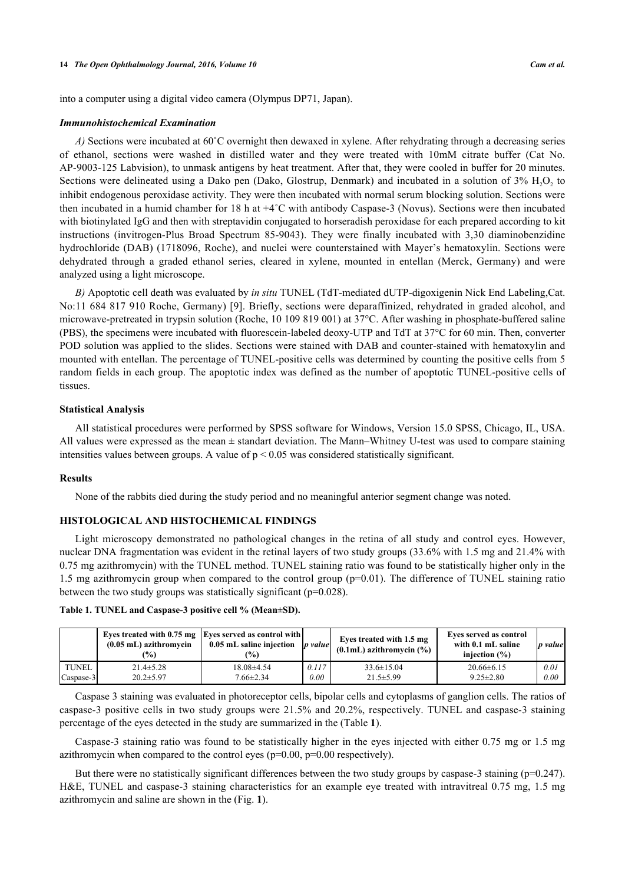into a computer using a digital video camera (Olympus DP71, Japan).

#### *Immunohistochemical Examination*

*A)* Sections were incubated at 60˚C overnight then dewaxed in xylene. After rehydrating through a decreasing series of ethanol, sections were washed in distilled water and they were treated with 10mM citrate buffer (Cat No. AP-9003-125 Labvision), to unmask antigens by heat treatment. After that, they were cooled in buffer for 20 minutes. Sections were delineated using a Dako pen (Dako, Glostrup, Denmark) and incubated in a solution of  $3\%$   $H_2O_2$  to inhibit endogenous peroxidase activity. They were then incubated with normal serum blocking solution. Sections were then incubated in a humid chamber for 18 h at +4˚C with antibody Caspase-3 (Novus). Sections were then incubated with biotinylated IgG and then with streptavidin conjugated to horseradish peroxidase for each prepared according to kit instructions (invitrogen-Plus Broad Spectrum 85-9043). They were finally incubated with 3,30 diaminobenzidine hydrochloride (DAB) (1718096, Roche), and nuclei were counterstained with Mayer's hematoxylin. Sections were dehydrated through a graded ethanol series, cleared in xylene, mounted in entellan (Merck, Germany) and were analyzed using a light microscope.

*B)* Apoptotic cell death was evaluated by *in situ* TUNEL (TdT-mediated dUTP-digoxigenin Nick End Labeling,Cat. No:11 684 817 910 Roche, Germany) [[9\]](#page-4-0). Briefly, sections were deparaffinized, rehydrated in graded alcohol, and microwave-pretreated in trypsin solution (Roche, 10 109 819 001) at 37°C. After washing in phosphate-buffered saline (PBS), the specimens were incubated with fluorescein-labeled deoxy-UTP and TdT at 37°C for 60 min. Then, converter POD solution was applied to the slides. Sections were stained with DAB and counter-stained with hematoxylin and mounted with entellan. The percentage of TUNEL-positive cells was determined by counting the positive cells from 5 random fields in each group. The apoptotic index was defined as the number of apoptotic TUNEL-positive cells of tissues.

#### **Statistical Analysis**

All statistical procedures were performed by SPSS software for Windows, Version 15.0 SPSS, Chicago, IL, USA. All values were expressed as the mean  $\pm$  standart deviation. The Mann–Whitney U-test was used to compare staining intensities values between groups. A value of  $p < 0.05$  was considered statistically significant.

# **Results**

None of the rabbits died during the study period and no meaningful anterior segment change was noted.

#### **HISTOLOGICAL AND HISTOCHEMICAL FINDINGS**

Light microscopy demonstrated no pathological changes in the retina of all study and control eyes. However, nuclear DNA fragmentation was evident in the retinal layers of two study groups (33.6% with 1.5 mg and 21.4% with 0.75 mg azithromycin) with the TUNEL method. TUNEL staining ratio was found to be statistically higher only in the 1.5 mg azithromycin group when compared to the control group (p=0.01). The difference of TUNEL staining ratio between the two study groups was statistically significant (p=0.028).

<span id="page-2-0"></span>

|  |  |  |  |  |  |  |  | Table 1. TUNEL and Caspase-3 positive cell % (Mean±SD). |  |
|--|--|--|--|--|--|--|--|---------------------------------------------------------|--|
|--|--|--|--|--|--|--|--|---------------------------------------------------------|--|

|              | $(0.05$ mL) azithromycin<br>$\frac{9}{0}$ | Eyes treated with 0.75 mg   Eyes served as control with  <br>0.05 mL saline injection<br>$\frac{9}{6}$ | <i>b</i> value | Eves treated with 1.5 mg<br>$(0.1mL)$ azithromycin $(\%)$ | Eves served as control<br>with 0.1 mL saline<br>injection $(\% )$ | p value |
|--------------|-------------------------------------------|--------------------------------------------------------------------------------------------------------|----------------|-----------------------------------------------------------|-------------------------------------------------------------------|---------|
| <b>TUNEL</b> | $21.4 \pm 5.28$                           | $18.08\pm4.54$                                                                                         | 0.117          | $33.6 \pm 15.04$                                          | $20.66\pm 6.15$                                                   | 0.01    |
| Caspase-3    | $20.2 \pm 5.97$                           | $7.66 \pm 2.34$                                                                                        | 0.00           | $21.5 \pm 5.99$                                           | $9.25 \pm 2.80$                                                   | 0.00    |

Caspase 3 staining was evaluated in photoreceptor cells, bipolar cells and cytoplasms of ganglion cells. The ratios of caspase-3 positive cells in two study groups were 21.5% and 20.2%, respectively. TUNEL and caspase-3 staining percentage of the eyes detected in the study are summarized in the (Table **[1](#page-2-0)**).

Caspase-3 staining ratio was found to be statistically higher in the eyes injected with either 0.75 mg or 1.5 mg azithromycin when compared to the control eyes ( $p=0.00$ ,  $p=0.00$  respectively).

But there were no statistically significant differences between the two study groups by caspase-3 staining (p=0.247). H&E, TUNEL and caspase-3 staining characteristics for an example eye treated with intravitreal 0.75 mg, 1.5 mg azithromycin and saline are shown in the (Fig. **[1](#page-1-0)**).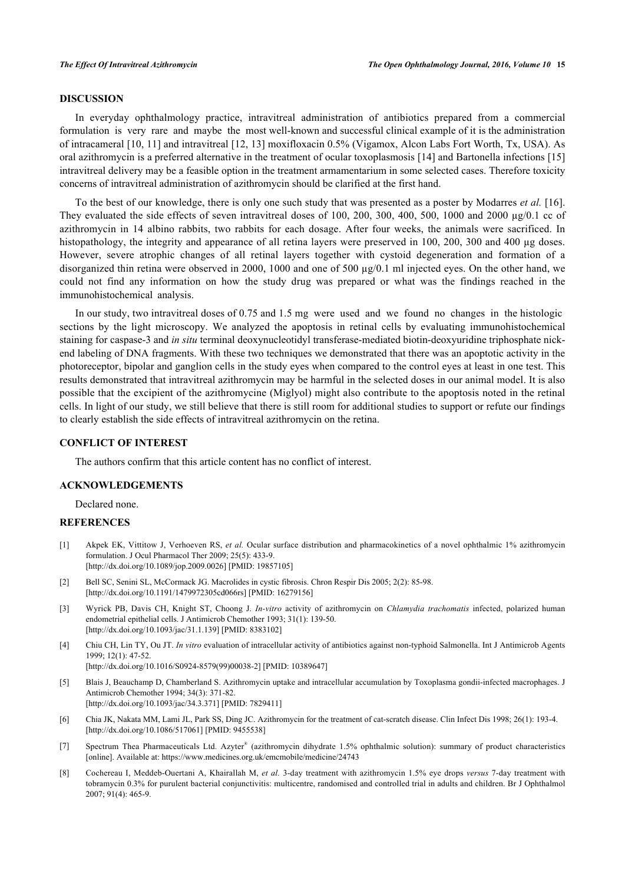# **DISCUSSION**

In everyday ophthalmology practice, intravitreal administration of antibiotics prepared from a commercial formulation is very rare and maybe the most well-known and successful clinical example of it is the administration of intracameral [\[10,](#page-4-1) [11\]](#page-4-2) and intravitreal [[12,](#page-4-3) [13](#page-4-4)] moxifloxacin 0.5% (Vigamox, Alcon Labs Fort Worth, Tx, USA). As oral azithromycin is a preferred alternative in the treatment of ocular toxoplasmosis [\[14](#page-4-5)] and Bartonella infections [\[15](#page-4-6)] intravitreal delivery may be a feasible option in the treatment armamentarium in some selected cases. Therefore toxicity concerns of intravitreal administration of azithromycin should be clarified at the first hand.

To the best of our knowledge, there is only one such study that was presented as a poster by Modarres *et al.* [\[16\]](#page-4-7). They evaluated the side effects of seven intravitreal doses of 100, 200, 300, 400, 500, 1000 and 2000  $\mu$ g/0.1 cc of azithromycin in 14 albino rabbits, two rabbits for each dosage. After four weeks, the animals were sacrificed. In histopathology, the integrity and appearance of all retina layers were preserved in 100, 200, 300 and 400 µg doses. However, severe atrophic changes of all retinal layers together with cystoid degeneration and formation of a disorganized thin retina were observed in 2000, 1000 and one of 500  $\mu$ g/0.1 ml injected eyes. On the other hand, we could not find any information on how the study drug was prepared or what was the findings reached in the immunohistochemical analysis.

In our study, two intravitreal doses of 0.75 and 1.5 mg were used and we found no changes in the histologic sections by the light microscopy. We analyzed the apoptosis in retinal cells by evaluating immunohistochemical staining for caspase-3 and *in situ* terminal deoxynucleotidyl transferase-mediated biotin-deoxyuridine triphosphate nickend labeling of DNA fragments. With these two techniques we demonstrated that there was an apoptotic activity in the photoreceptor, bipolar and ganglion cells in the study eyes when compared to the control eyes at least in one test. This results demonstrated that intravitreal azithromycin may be harmful in the selected doses in our animal model. It is also possible that the excipient of the azithromycine (Miglyol) might also contribute to the apoptosis noted in the retinal cells. In light of our study, we still believe that there is still room for additional studies to support or refute our findings to clearly establish the side effects of intravitreal azithromycin on the retina.

# **CONFLICT OF INTEREST**

The authors confirm that this article content has no conflict of interest.

#### **ACKNOWLEDGEMENTS**

Declared none.

# **REFERENCES**

- <span id="page-3-0"></span>[1] Akpek EK, Vittitow J, Verhoeven RS, *et al.* Ocular surface distribution and pharmacokinetics of a novel ophthalmic 1% azithromycin formulation. J Ocul Pharmacol Ther 2009; 25(5): 433-9. [\[http://dx.doi.org/10.1089/jop.2009.0026](http://dx.doi.org/10.1089/jop.2009.0026)] [PMID: [19857105\]](http://www.ncbi.nlm.nih.gov/pubmed/19857105)
- <span id="page-3-1"></span>[2] Bell SC, Senini SL, McCormack JG. Macrolides in cystic fibrosis. Chron Respir Dis 2005; 2(2): 85-98. [\[http://dx.doi.org/10.1191/1479972305cd066rs](http://dx.doi.org/10.1191/1479972305cd066rs)] [PMID: [16279156\]](http://www.ncbi.nlm.nih.gov/pubmed/16279156)
- [3] Wyrick PB, Davis CH, Knight ST, Choong J. *In-vitro* activity of azithromycin on *Chlamydia trachomatis* infected, polarized human endometrial epithelial cells. J Antimicrob Chemother 1993; 31(1): 139-50. [\[http://dx.doi.org/10.1093/jac/31.1.139](http://dx.doi.org/10.1093/jac/31.1.139)] [PMID: [8383102\]](http://www.ncbi.nlm.nih.gov/pubmed/8383102)
- [4] Chiu CH, Lin TY, Ou JT. *In vitro* evaluation of intracellular activity of antibiotics against non-typhoid Salmonella. Int J Antimicrob Agents 1999; 12(1): 47-52. [\[http://dx.doi.org/10.1016/S0924-8579\(99\)00038-2\]](http://dx.doi.org/10.1016/S0924-8579(99)00038-2) [PMID: [10389647](http://www.ncbi.nlm.nih.gov/pubmed/10389647)]
- [5] Blais J, Beauchamp D, Chamberland S. Azithromycin uptake and intracellular accumulation by Toxoplasma gondii-infected macrophages. J Antimicrob Chemother 1994; 34(3): 371-82. [\[http://dx.doi.org/10.1093/jac/34.3.371](http://dx.doi.org/10.1093/jac/34.3.371)] [PMID: [7829411\]](http://www.ncbi.nlm.nih.gov/pubmed/7829411)
- <span id="page-3-2"></span>[6] Chia JK, Nakata MM, Lami JL, Park SS, Ding JC. Azithromycin for the treatment of cat-scratch disease. Clin Infect Dis 1998; 26(1): 193-4. [\[http://dx.doi.org/10.1086/517061\]](http://dx.doi.org/10.1086/517061) [PMID: [9455538](http://www.ncbi.nlm.nih.gov/pubmed/9455538)]
- <span id="page-3-3"></span>[7] Spectrum Thea Pharmaceuticals Ltd. Azyter® (azithromycin dihydrate 1.5% ophthalmic solution): summary of product characteristics [online]. Available at:<https://www.medicines.org.uk/emcmobile/medicine/24743>
- <span id="page-3-4"></span>[8] Cochereau I, Meddeb-Ouertani A, Khairallah M, *et al.* 3-day treatment with azithromycin 1.5% eye drops *versus* 7-day treatment with tobramycin 0.3% for purulent bacterial conjunctivitis: multicentre, randomised and controlled trial in adults and children. Br J Ophthalmol  $2007 \cdot 91(4) \cdot 465-9$